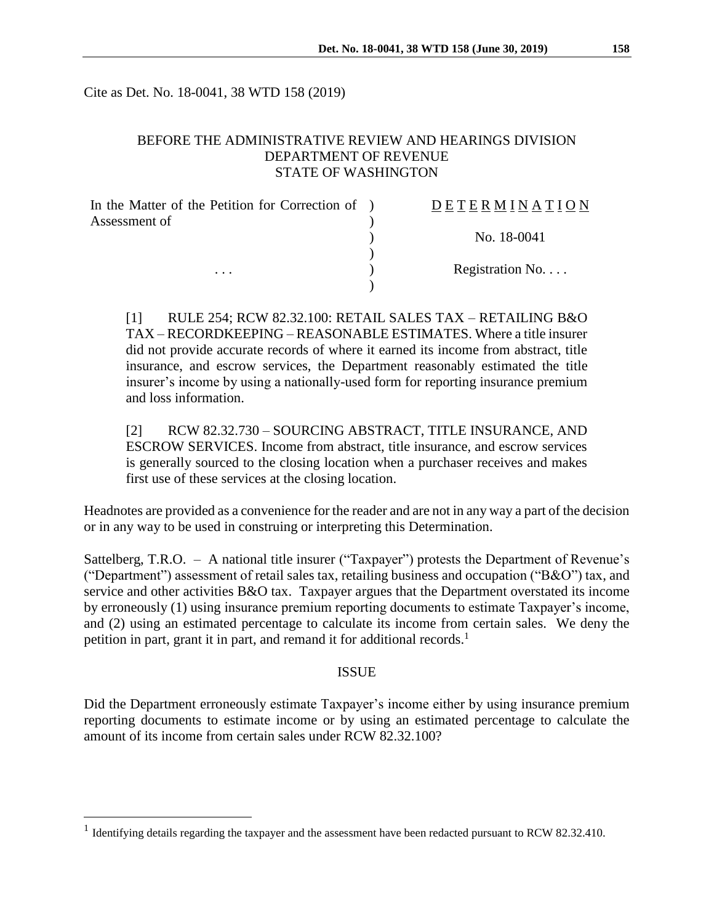Cite as Det. No. 18-0041, 38 WTD 158 (2019)

## BEFORE THE ADMINISTRATIVE REVIEW AND HEARINGS DIVISION DEPARTMENT OF REVENUE STATE OF WASHINGTON

| In the Matter of the Petition for Correction of ) | DETERMINATION   |
|---------------------------------------------------|-----------------|
| Assessment of                                     |                 |
|                                                   | No. 18-0041     |
|                                                   |                 |
| $\cdots$                                          | Registration No |
|                                                   |                 |

[1] RULE 254; RCW 82.32.100: RETAIL SALES TAX – RETAILING B&O TAX – RECORDKEEPING – REASONABLE ESTIMATES. Where a title insurer did not provide accurate records of where it earned its income from abstract, title insurance, and escrow services, the Department reasonably estimated the title insurer's income by using a nationally-used form for reporting insurance premium and loss information.

[2] RCW 82.32.730 – SOURCING ABSTRACT, TITLE INSURANCE, AND ESCROW SERVICES. Income from abstract, title insurance, and escrow services is generally sourced to the closing location when a purchaser receives and makes first use of these services at the closing location.

Headnotes are provided as a convenience for the reader and are not in any way a part of the decision or in any way to be used in construing or interpreting this Determination.

Sattelberg, T.R.O. – A national title insurer ("Taxpayer") protests the Department of Revenue's ("Department") assessment of retail sales tax, retailing business and occupation ("B&O") tax, and service and other activities B&O tax. Taxpayer argues that the Department overstated its income by erroneously (1) using insurance premium reporting documents to estimate Taxpayer's income, and (2) using an estimated percentage to calculate its income from certain sales. We deny the petition in part, grant it in part, and remand it for additional records.<sup>1</sup>

#### ISSUE

Did the Department erroneously estimate Taxpayer's income either by using insurance premium reporting documents to estimate income or by using an estimated percentage to calculate the amount of its income from certain sales under RCW 82.32.100?

 $\overline{a}$ 

<sup>&</sup>lt;sup>1</sup> Identifying details regarding the taxpayer and the assessment have been redacted pursuant to RCW 82.32.410.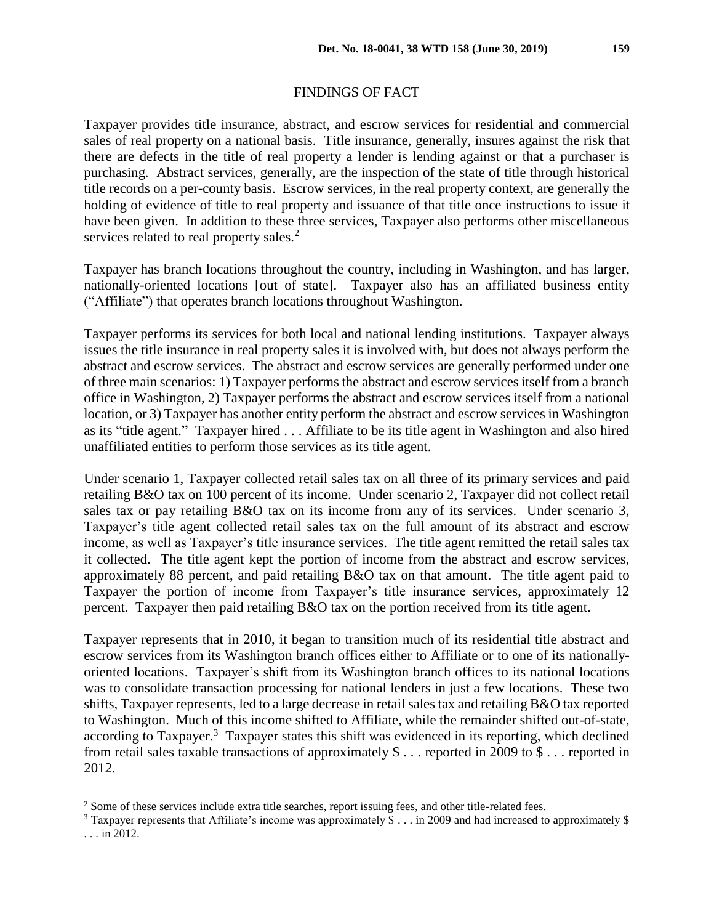## FINDINGS OF FACT

Taxpayer provides title insurance, abstract, and escrow services for residential and commercial sales of real property on a national basis. Title insurance, generally, insures against the risk that there are defects in the title of real property a lender is lending against or that a purchaser is purchasing. Abstract services, generally, are the inspection of the state of title through historical title records on a per-county basis. Escrow services, in the real property context, are generally the holding of evidence of title to real property and issuance of that title once instructions to issue it have been given. In addition to these three services, Taxpayer also performs other miscellaneous services related to real property sales.<sup>2</sup>

Taxpayer has branch locations throughout the country, including in Washington, and has larger, nationally-oriented locations [out of state]. Taxpayer also has an affiliated business entity ("Affiliate") that operates branch locations throughout Washington.

Taxpayer performs its services for both local and national lending institutions. Taxpayer always issues the title insurance in real property sales it is involved with, but does not always perform the abstract and escrow services. The abstract and escrow services are generally performed under one of three main scenarios: 1) Taxpayer performs the abstract and escrow services itself from a branch office in Washington, 2) Taxpayer performs the abstract and escrow services itself from a national location, or 3) Taxpayer has another entity perform the abstract and escrow services in Washington as its "title agent." Taxpayer hired . . . Affiliate to be its title agent in Washington and also hired unaffiliated entities to perform those services as its title agent.

Under scenario 1, Taxpayer collected retail sales tax on all three of its primary services and paid retailing B&O tax on 100 percent of its income. Under scenario 2, Taxpayer did not collect retail sales tax or pay retailing B&O tax on its income from any of its services. Under scenario 3, Taxpayer's title agent collected retail sales tax on the full amount of its abstract and escrow income, as well as Taxpayer's title insurance services. The title agent remitted the retail sales tax it collected. The title agent kept the portion of income from the abstract and escrow services, approximately 88 percent, and paid retailing B&O tax on that amount. The title agent paid to Taxpayer the portion of income from Taxpayer's title insurance services, approximately 12 percent. Taxpayer then paid retailing B&O tax on the portion received from its title agent.

Taxpayer represents that in 2010, it began to transition much of its residential title abstract and escrow services from its Washington branch offices either to Affiliate or to one of its nationallyoriented locations. Taxpayer's shift from its Washington branch offices to its national locations was to consolidate transaction processing for national lenders in just a few locations. These two shifts, Taxpayer represents, led to a large decrease in retail sales tax and retailing B&O tax reported to Washington. Much of this income shifted to Affiliate, while the remainder shifted out-of-state, according to Taxpayer.<sup>3</sup> Taxpayer states this shift was evidenced in its reporting, which declined from retail sales taxable transactions of approximately \$ . . . reported in 2009 to \$ . . . reported in 2012.

 $\overline{a}$ 

<sup>&</sup>lt;sup>2</sup> Some of these services include extra title searches, report issuing fees, and other title-related fees.

<sup>3</sup> Taxpayer represents that Affiliate's income was approximately \$ . . . in 2009 and had increased to approximately \$ . . . in 2012.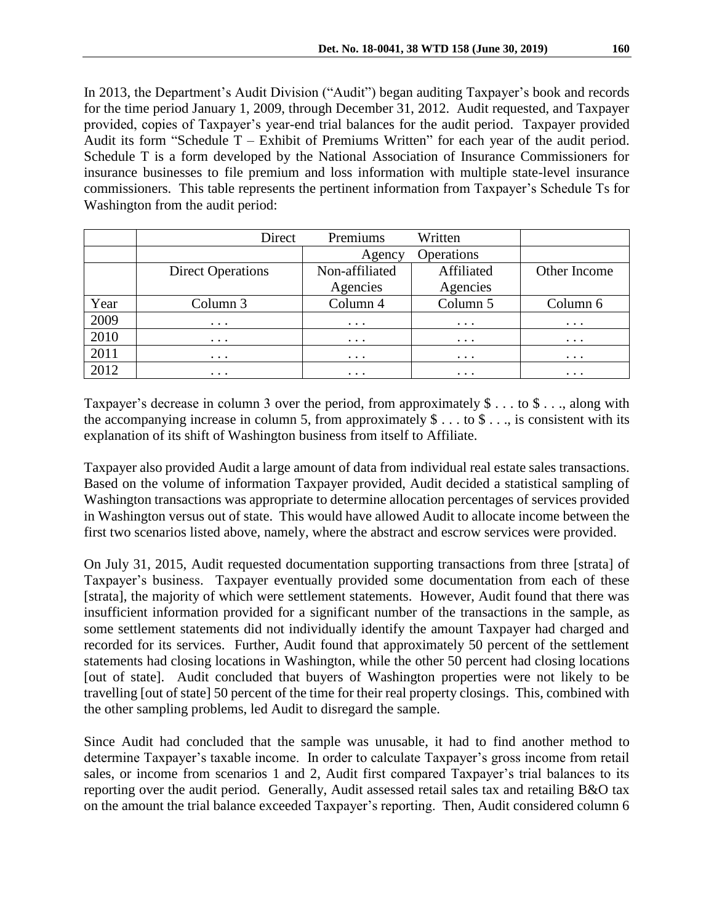In 2013, the Department's Audit Division ("Audit") began auditing Taxpayer's book and records for the time period January 1, 2009, through December 31, 2012. Audit requested, and Taxpayer provided, copies of Taxpayer's year-end trial balances for the audit period. Taxpayer provided Audit its form "Schedule T – Exhibit of Premiums Written" for each year of the audit period. Schedule T is a form developed by the National Association of Insurance Commissioners for insurance businesses to file premium and loss information with multiple state-level insurance commissioners. This table represents the pertinent information from Taxpayer's Schedule Ts for Washington from the audit period:

|      | Direct                   | Premiums             | Written    |              |
|------|--------------------------|----------------------|------------|--------------|
|      |                          | Operations<br>Agency |            |              |
|      | <b>Direct Operations</b> | Non-affiliated       | Affiliated | Other Income |
|      |                          | Agencies             | Agencies   |              |
| Year | Column 3                 | Column 4             | Column 5   | Column 6     |
| 2009 | $\cdots$                 | $\cdots$             | $\cdots$   | $\cdots$     |
| 2010 | $\cdots$                 | $\cdots$             | $\cdots$   | $\cdots$     |
| 2011 | $\cdots$                 | $\cdots$             | $\cdots$   | $\cdots$     |
| 2012 | $\cdots$                 | $\cdots$             | $\cdots$   | $\cdots$     |

Taxpayer's decrease in column 3 over the period, from approximately \$ . . . to \$ . . ., along with the accompanying increase in column 5, from approximately  $\$\dots$  to  $\$\dots$ , is consistent with its explanation of its shift of Washington business from itself to Affiliate.

Taxpayer also provided Audit a large amount of data from individual real estate sales transactions. Based on the volume of information Taxpayer provided, Audit decided a statistical sampling of Washington transactions was appropriate to determine allocation percentages of services provided in Washington versus out of state. This would have allowed Audit to allocate income between the first two scenarios listed above, namely, where the abstract and escrow services were provided.

On July 31, 2015, Audit requested documentation supporting transactions from three [strata] of Taxpayer's business. Taxpayer eventually provided some documentation from each of these [strata], the majority of which were settlement statements. However, Audit found that there was insufficient information provided for a significant number of the transactions in the sample, as some settlement statements did not individually identify the amount Taxpayer had charged and recorded for its services. Further, Audit found that approximately 50 percent of the settlement statements had closing locations in Washington, while the other 50 percent had closing locations [out of state]. Audit concluded that buyers of Washington properties were not likely to be travelling [out of state] 50 percent of the time for their real property closings. This, combined with the other sampling problems, led Audit to disregard the sample.

Since Audit had concluded that the sample was unusable, it had to find another method to determine Taxpayer's taxable income. In order to calculate Taxpayer's gross income from retail sales, or income from scenarios 1 and 2, Audit first compared Taxpayer's trial balances to its reporting over the audit period. Generally, Audit assessed retail sales tax and retailing B&O tax on the amount the trial balance exceeded Taxpayer's reporting. Then, Audit considered column 6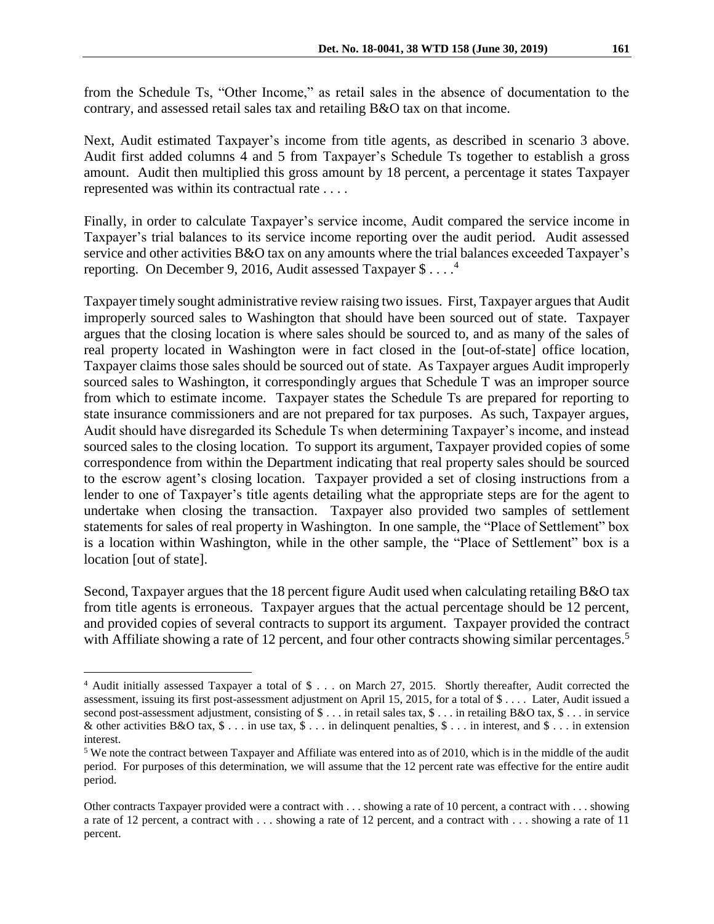from the Schedule Ts, "Other Income," as retail sales in the absence of documentation to the contrary, and assessed retail sales tax and retailing B&O tax on that income.

Next, Audit estimated Taxpayer's income from title agents, as described in scenario 3 above. Audit first added columns 4 and 5 from Taxpayer's Schedule Ts together to establish a gross amount. Audit then multiplied this gross amount by 18 percent, a percentage it states Taxpayer represented was within its contractual rate . . . .

Finally, in order to calculate Taxpayer's service income, Audit compared the service income in Taxpayer's trial balances to its service income reporting over the audit period. Audit assessed service and other activities B&O tax on any amounts where the trial balances exceeded Taxpayer's reporting. On December 9, 2016, Audit assessed Taxpayer \$ . . . . 4

Taxpayer timely sought administrative review raising two issues. First, Taxpayer argues that Audit improperly sourced sales to Washington that should have been sourced out of state. Taxpayer argues that the closing location is where sales should be sourced to, and as many of the sales of real property located in Washington were in fact closed in the [out-of-state] office location, Taxpayer claims those sales should be sourced out of state. As Taxpayer argues Audit improperly sourced sales to Washington, it correspondingly argues that Schedule T was an improper source from which to estimate income. Taxpayer states the Schedule Ts are prepared for reporting to state insurance commissioners and are not prepared for tax purposes. As such, Taxpayer argues, Audit should have disregarded its Schedule Ts when determining Taxpayer's income, and instead sourced sales to the closing location. To support its argument, Taxpayer provided copies of some correspondence from within the Department indicating that real property sales should be sourced to the escrow agent's closing location. Taxpayer provided a set of closing instructions from a lender to one of Taxpayer's title agents detailing what the appropriate steps are for the agent to undertake when closing the transaction. Taxpayer also provided two samples of settlement statements for sales of real property in Washington. In one sample, the "Place of Settlement" box is a location within Washington, while in the other sample, the "Place of Settlement" box is a location [out of state].

Second, Taxpayer argues that the 18 percent figure Audit used when calculating retailing B&O tax from title agents is erroneous. Taxpayer argues that the actual percentage should be 12 percent, and provided copies of several contracts to support its argument. Taxpayer provided the contract with Affiliate showing a rate of 12 percent, and four other contracts showing similar percentages.<sup>5</sup>

 $\overline{a}$ 

<sup>&</sup>lt;sup>4</sup> Audit initially assessed Taxpayer a total of \$ . . . on March 27, 2015. Shortly thereafter, Audit corrected the assessment, issuing its first post-assessment adjustment on April 15, 2015, for a total of \$ . . . . Later, Audit issued a second post-assessment adjustment, consisting of  $\$\dots$  in retail sales tax,  $\$\dots$  in retailing B&O tax,  $\$\dots$  in service & other activities B&O tax,  $\$\dots$  in use tax,  $\$\dots$  in delinquent penalties,  $\$\dots$  in interest, and  $\$\dots$  in extension interest.

<sup>5</sup> We note the contract between Taxpayer and Affiliate was entered into as of 2010, which is in the middle of the audit period. For purposes of this determination, we will assume that the 12 percent rate was effective for the entire audit period.

Other contracts Taxpayer provided were a contract with . . . showing a rate of 10 percent, a contract with . . . showing a rate of 12 percent, a contract with . . . showing a rate of 12 percent, and a contract with . . . showing a rate of 11 percent.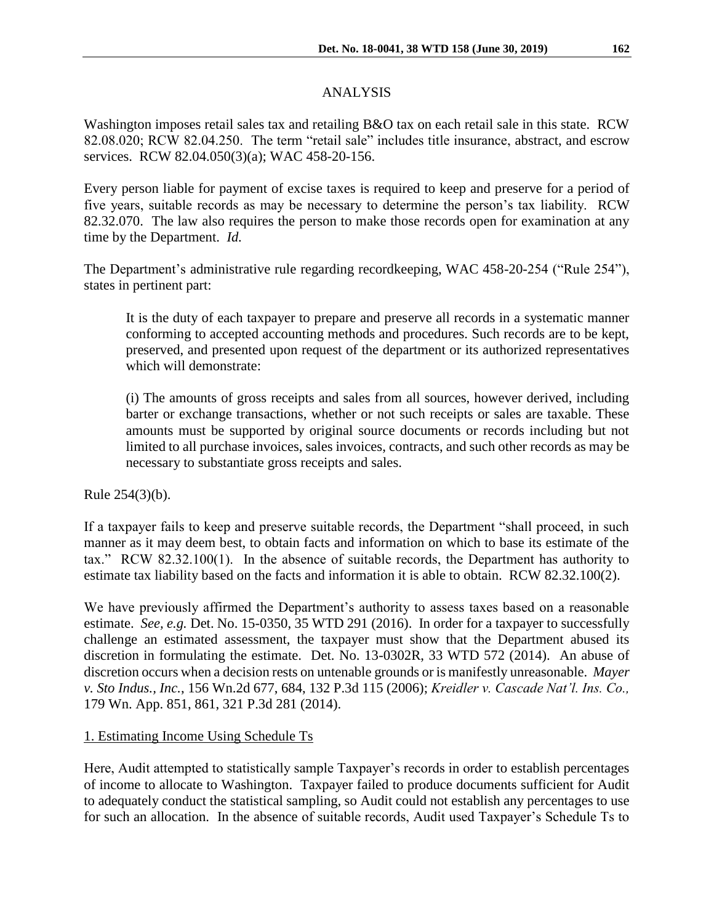# ANALYSIS

Washington imposes retail sales tax and retailing B&O tax on each retail sale in this state. RCW 82.08.020; RCW 82.04.250. The term "retail sale" includes title insurance, abstract, and escrow services. RCW 82.04.050(3)(a); WAC 458-20-156.

Every person liable for payment of excise taxes is required to keep and preserve for a period of five years, suitable records as may be necessary to determine the person's tax liability. RCW 82.32.070. The law also requires the person to make those records open for examination at any time by the Department. *Id.*

The Department's administrative rule regarding recordkeeping, WAC 458-20-254 ("Rule 254"), states in pertinent part:

It is the duty of each taxpayer to prepare and preserve all records in a systematic manner conforming to accepted accounting methods and procedures. Such records are to be kept, preserved, and presented upon request of the department or its authorized representatives which will demonstrate:

(i) The amounts of gross receipts and sales from all sources, however derived, including barter or exchange transactions, whether or not such receipts or sales are taxable. These amounts must be supported by original source documents or records including but not limited to all purchase invoices, sales invoices, contracts, and such other records as may be necessary to substantiate gross receipts and sales.

Rule 254(3)(b).

If a taxpayer fails to keep and preserve suitable records, the Department "shall proceed, in such manner as it may deem best, to obtain facts and information on which to base its estimate of the tax." RCW 82.32.100(1). In the absence of suitable records, the Department has authority to estimate tax liability based on the facts and information it is able to obtain. RCW 82.32.100(2).

We have previously affirmed the Department's authority to assess taxes based on a reasonable estimate. *See, e.g.* Det. No. 15-0350, 35 WTD 291 (2016). In order for a taxpayer to successfully challenge an estimated assessment, the taxpayer must show that the Department abused its discretion in formulating the estimate. Det. No. 13-0302R, 33 WTD 572 (2014). An abuse of discretion occurs when a decision rests on untenable grounds or is manifestly unreasonable. *Mayer v. Sto Indus., Inc.*, 156 Wn.2d 677, 684, 132 P.3d 115 (2006); *Kreidler v. Cascade Nat'l. Ins. Co.,* 179 Wn. App. 851, 861, 321 P.3d 281 (2014).

## 1. Estimating Income Using Schedule Ts

Here, Audit attempted to statistically sample Taxpayer's records in order to establish percentages of income to allocate to Washington. Taxpayer failed to produce documents sufficient for Audit to adequately conduct the statistical sampling, so Audit could not establish any percentages to use for such an allocation. In the absence of suitable records, Audit used Taxpayer's Schedule Ts to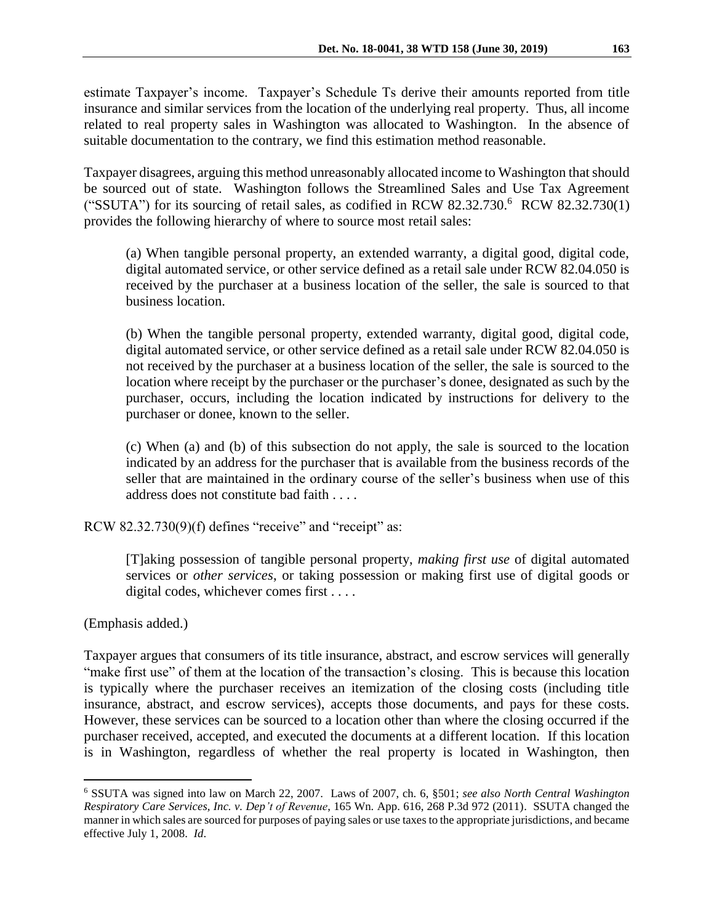estimate Taxpayer's income. Taxpayer's Schedule Ts derive their amounts reported from title insurance and similar services from the location of the underlying real property. Thus, all income related to real property sales in Washington was allocated to Washington. In the absence of suitable documentation to the contrary, we find this estimation method reasonable.

Taxpayer disagrees, arguing this method unreasonably allocated income to Washington that should be sourced out of state. Washington follows the Streamlined Sales and Use Tax Agreement ("SSUTA") for its sourcing of retail sales, as codified in RCW  $82.32.730$ .<sup>6</sup> RCW  $82.32.730(1)$ provides the following hierarchy of where to source most retail sales:

(a) When tangible personal property, an extended warranty, a digital good, digital code, digital automated service, or other service defined as a retail sale under RCW 82.04.050 is received by the purchaser at a business location of the seller, the sale is sourced to that business location.

(b) When the tangible personal property, extended warranty, digital good, digital code, digital automated service, or other service defined as a retail sale under RCW 82.04.050 is not received by the purchaser at a business location of the seller, the sale is sourced to the location where receipt by the purchaser or the purchaser's donee, designated as such by the purchaser, occurs, including the location indicated by instructions for delivery to the purchaser or donee, known to the seller.

(c) When (a) and (b) of this subsection do not apply, the sale is sourced to the location indicated by an address for the purchaser that is available from the business records of the seller that are maintained in the ordinary course of the seller's business when use of this address does not constitute bad faith . . . .

RCW 82.32.730(9)(f) defines "receive" and "receipt" as:

[T]aking possession of tangible personal property, *making first use* of digital automated services or *other services*, or taking possession or making first use of digital goods or digital codes, whichever comes first . . . .

(Emphasis added.)

 $\overline{a}$ 

Taxpayer argues that consumers of its title insurance, abstract, and escrow services will generally "make first use" of them at the location of the transaction's closing. This is because this location is typically where the purchaser receives an itemization of the closing costs (including title insurance, abstract, and escrow services), accepts those documents, and pays for these costs. However, these services can be sourced to a location other than where the closing occurred if the purchaser received, accepted, and executed the documents at a different location. If this location is in Washington, regardless of whether the real property is located in Washington, then

<sup>6</sup> SSUTA was signed into law on March 22, 2007. Laws of 2007, ch. 6, §501; *see also North Central Washington Respiratory Care Services, Inc. v. Dep't of Revenue*, 165 Wn. App. 616, 268 P.3d 972 (2011). SSUTA changed the manner in which sales are sourced for purposes of paying sales or use taxes to the appropriate jurisdictions, and became effective July 1, 2008. *Id*.